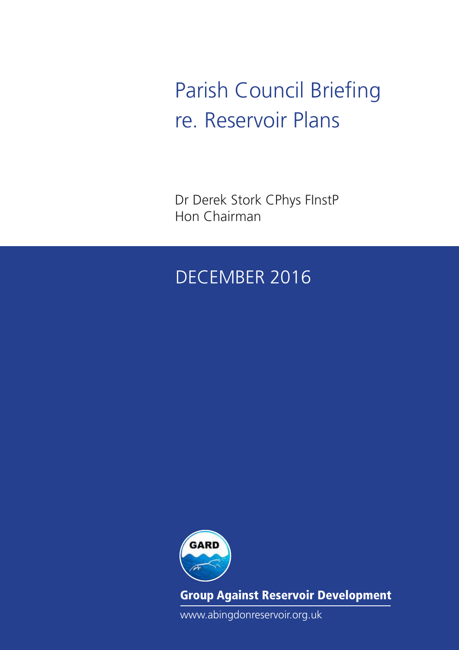Parish Council Briefing re. Reservoir Plans

Dr Derek Stork CPhys FInstP Hon Chairman

## December 2016



Group Against Reservoir Development

www.abingdonreservoir.org.uk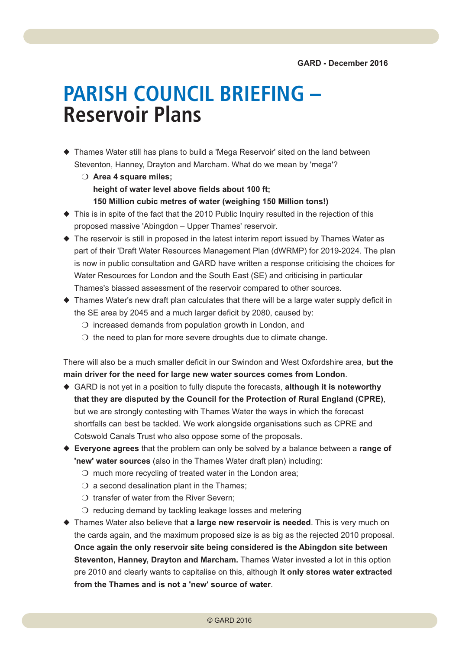## **PARISH COUNCIL BRIEFING – Reservoir Plans**

- $\blacklozenge$  Thames Water still has plans to build a 'Mega Reservoir' sited on the land between Steventon, Hanney, Drayton and Marcham. What do we mean by 'mega'?
	- O Area 4 square miles; **height of water level above fields about 100 ft; 150 Million cubic metres of water (weighing 150 Million tons!)**
- $\blacklozenge$  This is in spite of the fact that the 2010 Public Inquiry resulted in the rejection of this proposed massive 'Abingdon – Upper Thames' reservoir.
- $\blacklozenge$  The reservoir is still in proposed in the latest interim report issued by Thames Water as part of their 'Draft Water Resources Management Plan (dWRMP) for 2019-2024. The plan is now in public consultation and GARD have written a response criticising the choices for Water Resources for London and the South East (SE) and criticising in particular Thames's biassed assessment of the reservoir compared to other sources.
- $\triangle$  Thames Water's new draft plan calculates that there will be a large water supply deficit in the SE area by 2045 and a much larger deficit by 2080, caused by:
	- $\overline{O}$  increased demands from population growth in London, and
	- $\circ$  the need to plan for more severe droughts due to climate change.

There will also be a much smaller deficit in our Swindon and West Oxfordshire area, **but the main driver for the need for large new water sources comes from London**.

- ◆ GARD is not yet in a position to fully dispute the forecasts, although it is noteworthy **that they are disputed by the Council for the Protection of Rural England (CPRE)**, but we are strongly contesting with Thames Water the ways in which the forecast shortfalls can best be tackled. We work alongside organisations such as CPRE and Cotswold Canals Trust who also oppose some of the proposals.
- u **Everyone agrees** that the problem can only be solved by a balance between a **range of 'new' water sources** (also in the Thames Water draft plan) including:
	- $\circ$  much more recycling of treated water in the London area;
	- $\bigcirc$  a second desalination plant in the Thames;
	- $\bigcirc$  transfer of water from the River Severn;
	- $\circ$  reducing demand by tackling leakage losses and metering
- ◆ Thames Water also believe that a large new reservoir is needed. This is very much on the cards again, and the maximum proposed size is as big as the rejected 2010 proposal. **Once again the only reservoir site being considered is the Abingdon site between Steventon, Hanney, Drayton and Marcham.** Thames Water invested a lot in this option pre 2010 and clearly wants to capitalise on this, although **it only stores water extracted from the Thames and is not a 'new' source of water**.